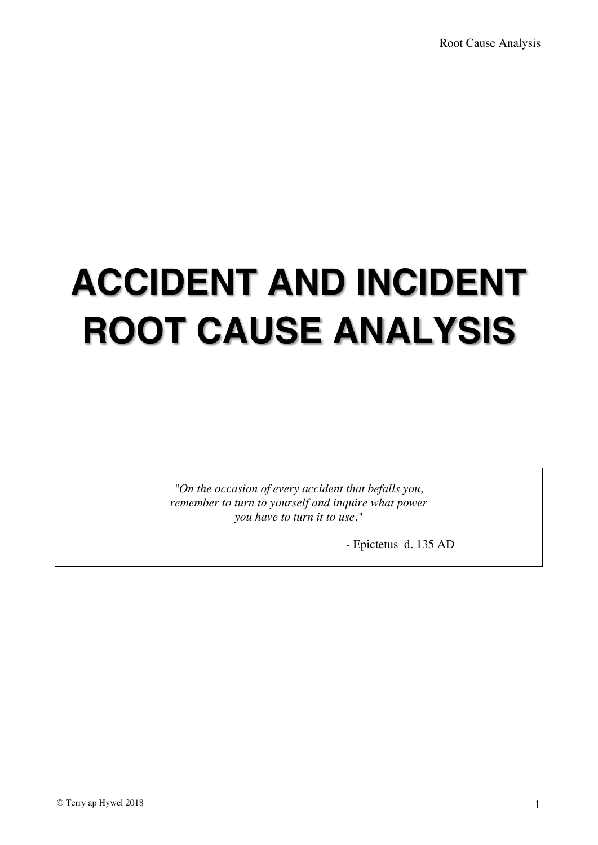# **ACCIDENT AND INCIDENT ROOT CAUSE ANALYSIS**

*"On the occasion of every accident that befalls you, remember to turn to yourself and inquire what power you have to turn it to use."*

- Epictetus d. 135 AD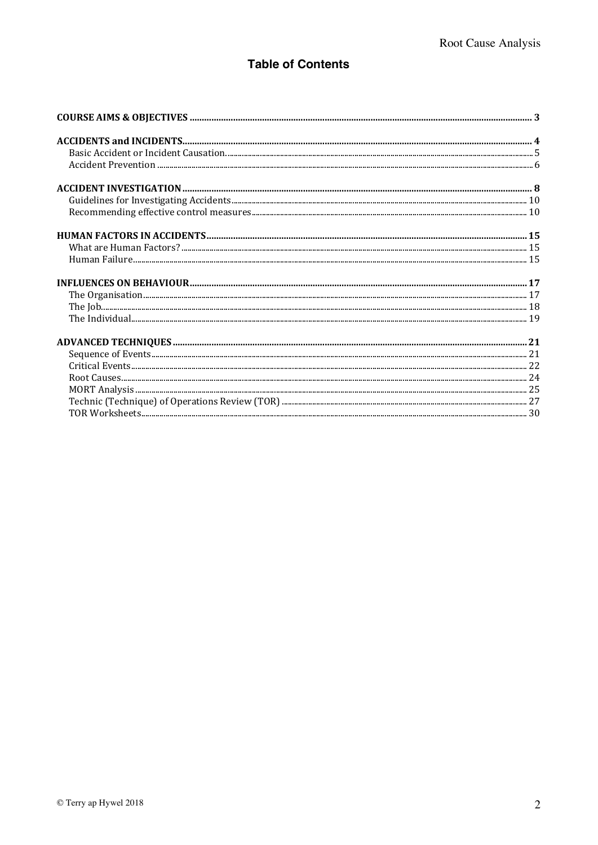#### **Table of Contents**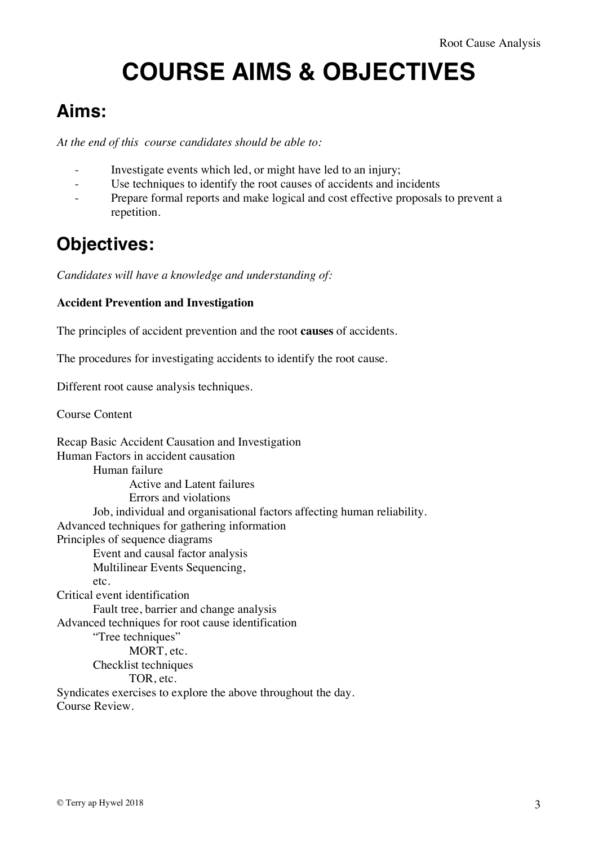## **COURSE AIMS & OBJECTIVES**

#### **Aims:**

*At the end of this course candidates should be able to:*

- Investigate events which led, or might have led to an injury;
- Use techniques to identify the root causes of accidents and incidents
- Prepare formal reports and make logical and cost effective proposals to prevent a repetition.

#### **Objectives:**

*Candidates will have a knowledge and understanding of:*

#### **Accident Prevention and Investigation**

The principles of accident prevention and the root **causes** of accidents.

The procedures for investigating accidents to identify the root cause.

Different root cause analysis techniques.

Course Content

Recap Basic Accident Causation and Investigation Human Factors in accident causation Human failure Active and Latent failures Errors and violations Job, individual and organisational factors affecting human reliability. Advanced techniques for gathering information Principles of sequence diagrams Event and causal factor analysis Multilinear Events Sequencing,  $etc.$ Critical event identification Fault tree, barrier and change analysis Advanced techniques for root cause identification "Tree techniques" MORT, etc. Checklist techniques TOR, etc. Syndicates exercises to explore the above throughout the day. Course Review.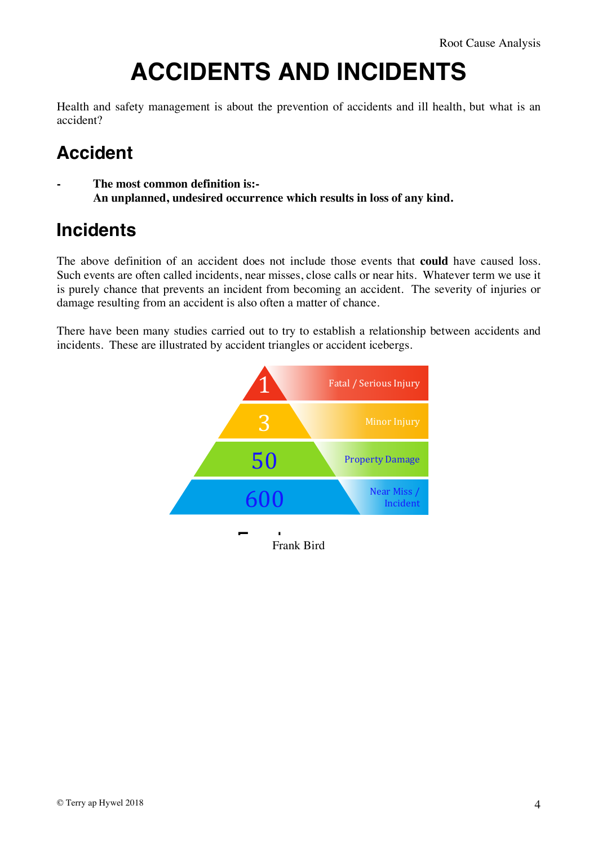## **ACCIDENTS AND INCIDENTS**

Health and safety management is about the prevention of accidents and ill health, but what is an accident?

### **Accident**

**- The most common definition is:- An unplanned, undesired occurrence which results in loss of any kind.**

#### **Incidents**

The above definition of an accident does not include those events that **could** have caused loss. Such events are often called incidents, near misses, close calls or near hits. Whatever term we use it is purely chance that prevents an incident from becoming an accident. The severity of injuries or damage resulting from an accident is also often a matter of chance.

There have been many studies carried out to try to establish a relationship between accidents and incidents. These are illustrated by accident triangles or accident icebergs.

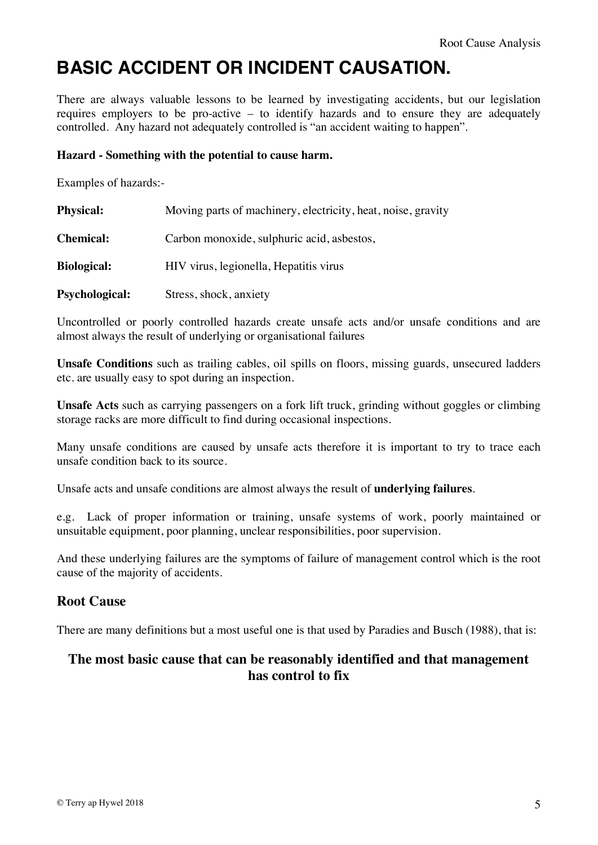### **BASIC ACCIDENT OR INCIDENT CAUSATION.**

There are always valuable lessons to be learned by investigating accidents, but our legislation requires employers to be pro-active – to identify hazards and to ensure they are adequately controlled. Any hazard not adequately controlled is "an accident waiting to happen".

#### **Hazard - Something with the potential to cause harm.**

Examples of hazards:-

| <b>Physical:</b>      | Moving parts of machinery, electricity, heat, noise, gravity |
|-----------------------|--------------------------------------------------------------|
| <b>Chemical:</b>      | Carbon monoxide, sulphuric acid, asbestos,                   |
| <b>Biological:</b>    | HIV virus, legionella, Hepatitis virus                       |
| <b>Psychological:</b> | Stress, shock, anxiety                                       |

Uncontrolled or poorly controlled hazards create unsafe acts and/or unsafe conditions and are almost always the result of underlying or organisational failures

**Unsafe Conditions** such as trailing cables, oil spills on floors, missing guards, unsecured ladders etc. are usually easy to spot during an inspection.

**Unsafe Acts** such as carrying passengers on a fork lift truck, grinding without goggles or climbing storage racks are more difficult to find during occasional inspections.

Many unsafe conditions are caused by unsafe acts therefore it is important to try to trace each unsafe condition back to its source.

Unsafe acts and unsafe conditions are almost always the result of **underlying failures**.

e.g. Lack of proper information or training, unsafe systems of work, poorly maintained or unsuitable equipment, poor planning, unclear responsibilities, poor supervision.

And these underlying failures are the symptoms of failure of management control which is the root cause of the majority of accidents.

#### **Root Cause**

There are many definitions but a most useful one is that used by Paradies and Busch (1988), that is:

#### **The most basic cause that can be reasonably identified and that management has control to fix**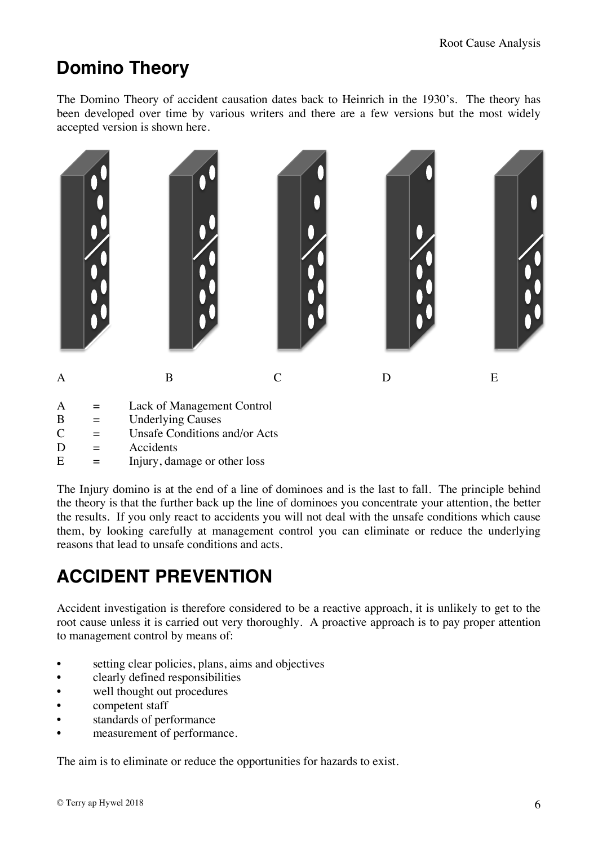#### **Domino Theory**

The Domino Theory of accident causation dates back to Heinrich in the 1930's. The theory has been developed over time by various writers and there are a few versions but the most widely accepted version is shown here.



- A = Lack of Management Control
- $B =$  Underlying Causes
- $C =$  Unsafe Conditions and/or Acts
- $D = Accidents$
- $E = \text{Injury, damage or other loss}$

The Injury domino is at the end of a line of dominoes and is the last to fall. The principle behind the theory is that the further back up the line of dominoes you concentrate your attention, the better the results. If you only react to accidents you will not deal with the unsafe conditions which cause them, by looking carefully at management control you can eliminate or reduce the underlying reasons that lead to unsafe conditions and acts.

### **ACCIDENT PREVENTION**

Accident investigation is therefore considered to be a reactive approach, it is unlikely to get to the root cause unless it is carried out very thoroughly. A proactive approach is to pay proper attention to management control by means of:

- setting clear policies, plans, aims and objectives
- clearly defined responsibilities
- well thought out procedures
- competent staff
- standards of performance
- measurement of performance.

The aim is to eliminate or reduce the opportunities for hazards to exist.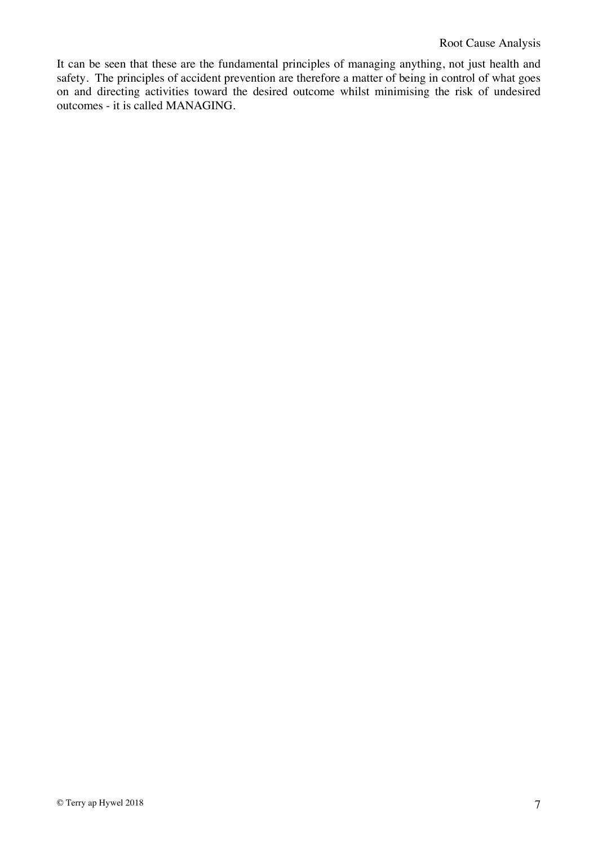It can be seen that these are the fundamental principles of managing anything, not just health and safety. The principles of accident prevention are therefore a matter of being in control of what goes on and directing activities toward the desired outcome whilst minimising the risk of undesired outcomes - it is called MANAGING.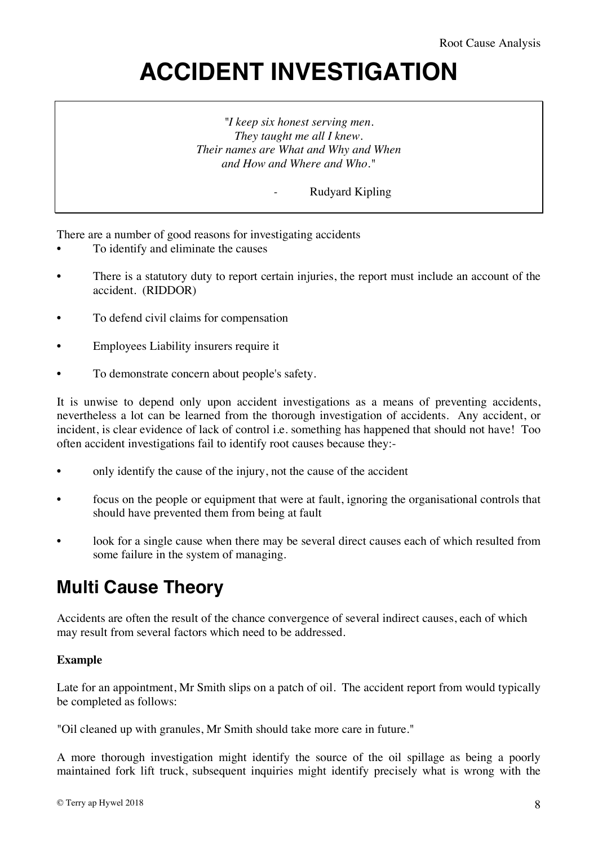## **ACCIDENT INVESTIGATION**

*"I keep six honest serving men. They taught me all I knew. Their names are What and Why and When and How and Where and Who."*

*-* Rudyard Kipling

There are a number of good reasons for investigating accidents

- To identify and eliminate the causes
- There is a statutory duty to report certain injuries, the report must include an account of the accident. (RIDDOR)
- To defend civil claims for compensation
- Employees Liability insurers require it
- To demonstrate concern about people's safety.

It is unwise to depend only upon accident investigations as a means of preventing accidents, nevertheless a lot can be learned from the thorough investigation of accidents. Any accident, or incident, is clear evidence of lack of control i.e. something has happened that should not have! Too often accident investigations fail to identify root causes because they:-

- only identify the cause of the injury, not the cause of the accident
- focus on the people or equipment that were at fault, ignoring the organisational controls that should have prevented them from being at fault
- look for a single cause when there may be several direct causes each of which resulted from some failure in the system of managing.

#### **Multi Cause Theory**

Accidents are often the result of the chance convergence of several indirect causes, each of which may result from several factors which need to be addressed.

#### **Example**

Late for an appointment, Mr Smith slips on a patch of oil. The accident report from would typically be completed as follows:

"Oil cleaned up with granules, Mr Smith should take more care in future."

A more thorough investigation might identify the source of the oil spillage as being a poorly maintained fork lift truck, subsequent inquiries might identify precisely what is wrong with the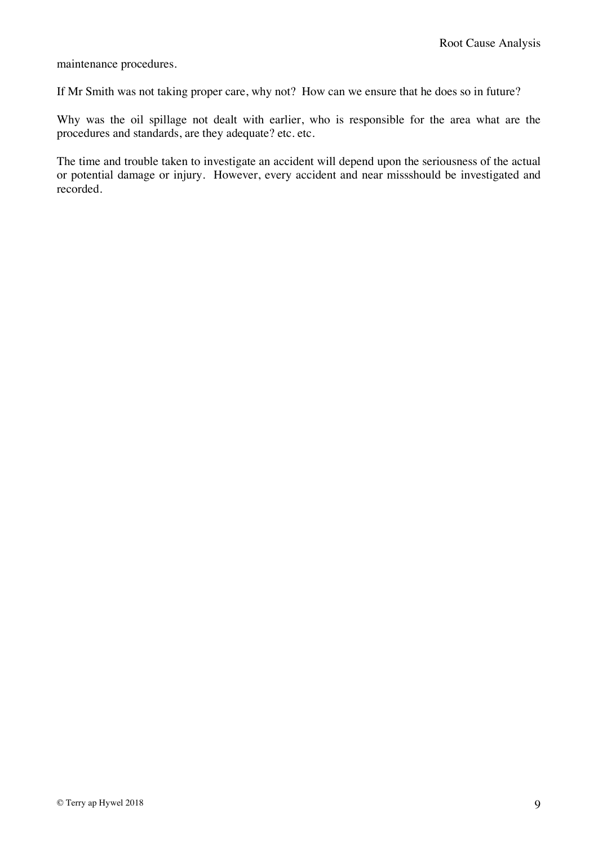maintenance procedures.

If Mr Smith was not taking proper care, why not? How can we ensure that he does so in future?

Why was the oil spillage not dealt with earlier, who is responsible for the area what are the procedures and standards, are they adequate? etc. etc.

The time and trouble taken to investigate an accident will depend upon the seriousness of the actual or potential damage or injury. However, every accident and near missshould be investigated and recorded.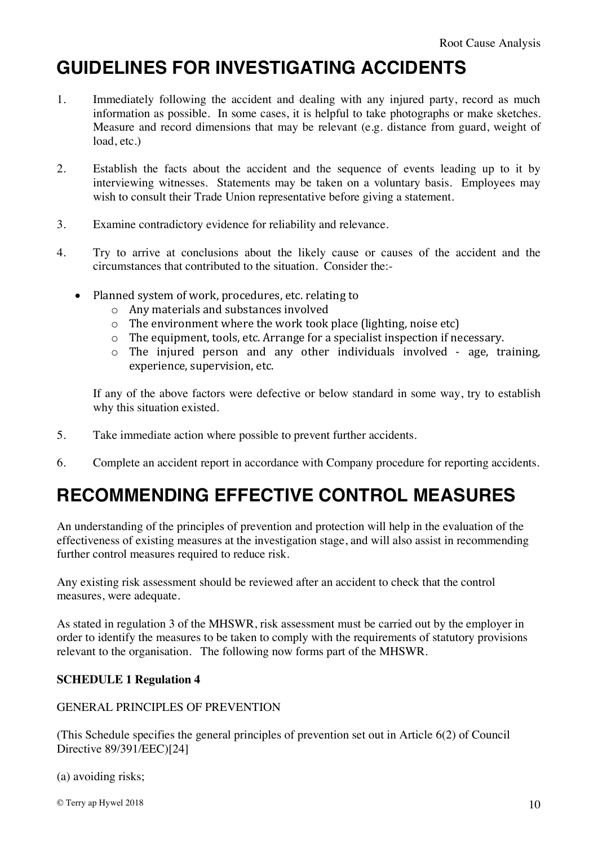### **GUIDELINES FOR INVESTIGATING ACCIDENTS**

- 1. Immediately following the accident and dealing with any injured party, record as much information as possible. In some cases, it is helpful to take photographs or make sketches. Measure and record dimensions that may be relevant (e.g. distance from guard, weight of load, etc.)
- 2. Establish the facts about the accident and the sequence of events leading up to it by interviewing witnesses. Statements may be taken on a voluntary basis. Employees may wish to consult their Trade Union representative before giving a statement.
- 3. Examine contradictory evidence for reliability and relevance.
- 4. Try to arrive at conclusions about the likely cause or causes of the accident and the circumstances that contributed to the situation. Consider the:-
	- Planned system of work, procedures, etc. relating to
		- $\circ$  Any materials and substances involved
		- $\circ$  The environment where the work took place (lighting, noise etc)
		- $\circ$  The equipment, tools, etc. Arrange for a specialist inspection if necessary.
		- $\circ$  The injured person and any other individuals involved age, training, experience, supervision, etc.

If any of the above factors were defective or below standard in some way, try to establish why this situation existed.

- 5. Take immediate action where possible to prevent further accidents.
- 6. Complete an accident report in accordance with Company procedure for reporting accidents.

### **RECOMMENDING EFFECTIVE CONTROL MEASURES**

An understanding of the principles of prevention and protection will help in the evaluation of the effectiveness of existing measures at the investigation stage, and will also assist in recommending further control measures required to reduce risk.

Any existing risk assessment should be reviewed after an accident to check that the control measures, were adequate.

As stated in regulation 3 of the MHSWR, risk assessment must be carried out by the employer in order to identify the measures to be taken to comply with the requirements of statutory provisions relevant to the organisation. The following now forms part of the MHSWR.

#### **SCHEDULE 1 Regulation 4**

#### GENERAL PRINCIPLES OF PREVENTION

(This Schedule specifies the general principles of prevention set out in Article 6(2) of Council Directive 89/391/EEC)[24]

(a) avoiding risks;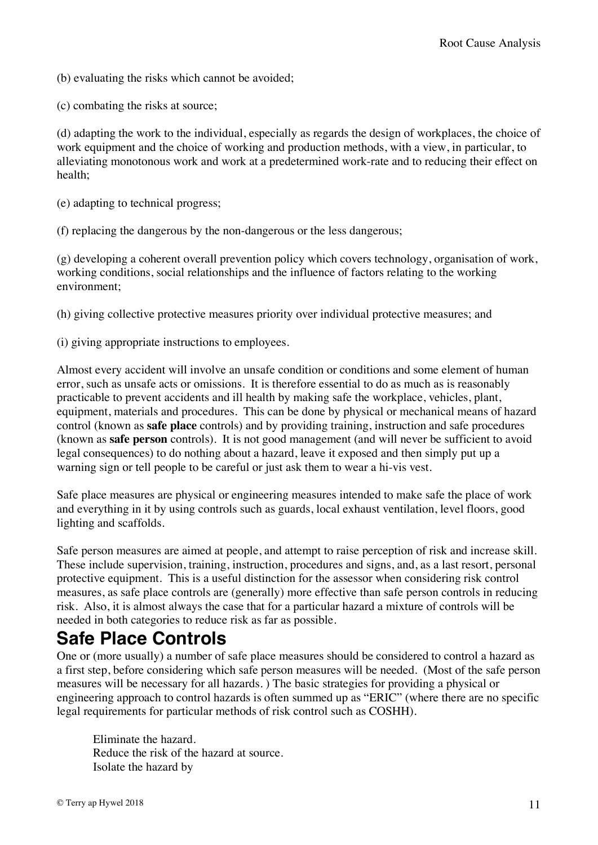(b) evaluating the risks which cannot be avoided;

(c) combating the risks at source;

(d) adapting the work to the individual, especially as regards the design of workplaces, the choice of work equipment and the choice of working and production methods, with a view, in particular, to alleviating monotonous work and work at a predetermined work-rate and to reducing their effect on health;

(e) adapting to technical progress;

(f) replacing the dangerous by the non-dangerous or the less dangerous;

(g) developing a coherent overall prevention policy which covers technology, organisation of work, working conditions, social relationships and the influence of factors relating to the working environment;

(h) giving collective protective measures priority over individual protective measures; and

(i) giving appropriate instructions to employees.

Almost every accident will involve an unsafe condition or conditions and some element of human error, such as unsafe acts or omissions. It is therefore essential to do as much as is reasonably practicable to prevent accidents and ill health by making safe the workplace, vehicles, plant, equipment, materials and procedures. This can be done by physical or mechanical means of hazard control (known as **safe place** controls) and by providing training, instruction and safe procedures (known as **safe person** controls). It is not good management (and will never be sufficient to avoid legal consequences) to do nothing about a hazard, leave it exposed and then simply put up a warning sign or tell people to be careful or just ask them to wear a hi-vis vest.

Safe place measures are physical or engineering measures intended to make safe the place of work and everything in it by using controls such as guards, local exhaust ventilation, level floors, good lighting and scaffolds.

Safe person measures are aimed at people, and attempt to raise perception of risk and increase skill. These include supervision, training, instruction, procedures and signs, and, as a last resort, personal protective equipment. This is a useful distinction for the assessor when considering risk control measures, as safe place controls are (generally) more effective than safe person controls in reducing risk. Also, it is almost always the case that for a particular hazard a mixture of controls will be needed in both categories to reduce risk as far as possible.

#### **Safe Place Controls**

One or (more usually) a number of safe place measures should be considered to control a hazard as a first step, before considering which safe person measures will be needed. (Most of the safe person measures will be necessary for all hazards. ) The basic strategies for providing a physical or engineering approach to control hazards is often summed up as "ERIC" (where there are no specific legal requirements for particular methods of risk control such as COSHH).

Eliminate the hazard. Reduce the risk of the hazard at source. Isolate the hazard by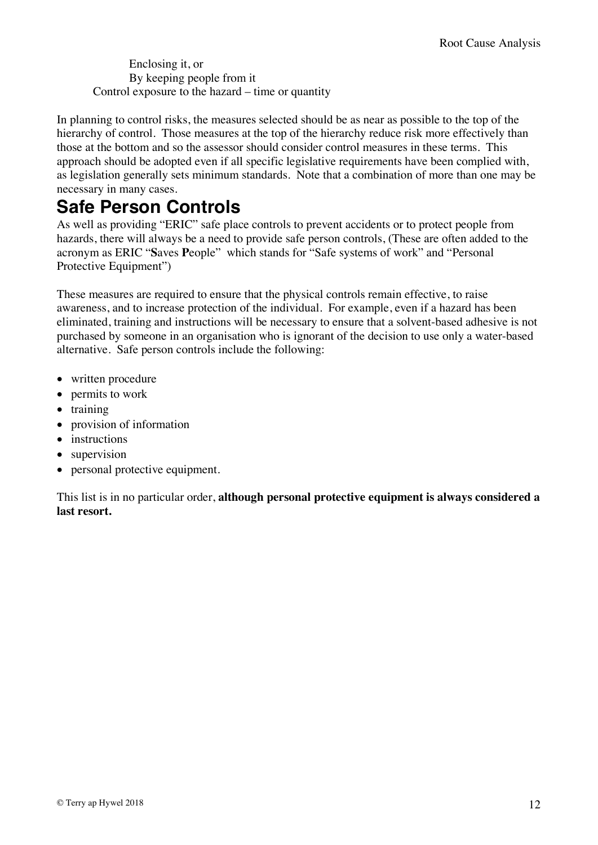Enclosing it, or By keeping people from it Control exposure to the hazard – time or quantity

In planning to control risks, the measures selected should be as near as possible to the top of the hierarchy of control. Those measures at the top of the hierarchy reduce risk more effectively than those at the bottom and so the assessor should consider control measures in these terms. This approach should be adopted even if all specific legislative requirements have been complied with, as legislation generally sets minimum standards. Note that a combination of more than one may be necessary in many cases.

#### **Safe Person Controls**

As well as providing "ERIC" safe place controls to prevent accidents or to protect people from hazards, there will always be a need to provide safe person controls, (These are often added to the acronym as ERIC "**S**aves **P**eople" which stands for "Safe systems of work" and "Personal Protective Equipment")

These measures are required to ensure that the physical controls remain effective, to raise awareness, and to increase protection of the individual. For example, even if a hazard has been eliminated, training and instructions will be necessary to ensure that a solvent-based adhesive is not purchased by someone in an organisation who is ignorant of the decision to use only a water-based alternative. Safe person controls include the following:

- written procedure
- permits to work
- training
- provision of information
- instructions
- supervision
- personal protective equipment.

This list is in no particular order, **although personal protective equipment is always considered a last resort.**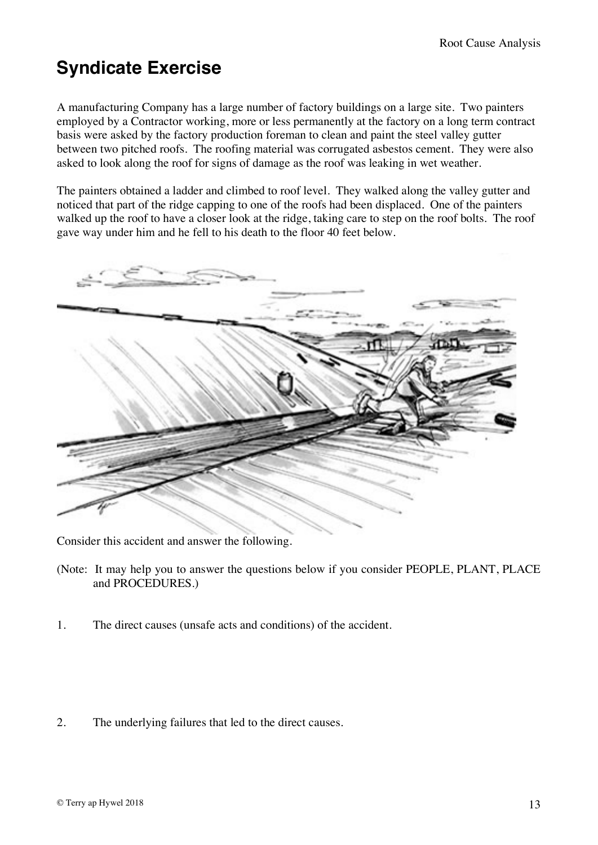### **Syndicate Exercise**

A manufacturing Company has a large number of factory buildings on a large site. Two painters employed by a Contractor working, more or less permanently at the factory on a long term contract basis were asked by the factory production foreman to clean and paint the steel valley gutter between two pitched roofs. The roofing material was corrugated asbestos cement. They were also asked to look along the roof for signs of damage as the roof was leaking in wet weather.

The painters obtained a ladder and climbed to roof level. They walked along the valley gutter and noticed that part of the ridge capping to one of the roofs had been displaced. One of the painters walked up the roof to have a closer look at the ridge, taking care to step on the roof bolts. The roof gave way under him and he fell to his death to the floor 40 feet below.



Consider this accident and answer the following.

- (Note: It may help you to answer the questions below if you consider PEOPLE, PLANT, PLACE and PROCEDURES.)
- 1. The direct causes (unsafe acts and conditions) of the accident.
- 2. The underlying failures that led to the direct causes.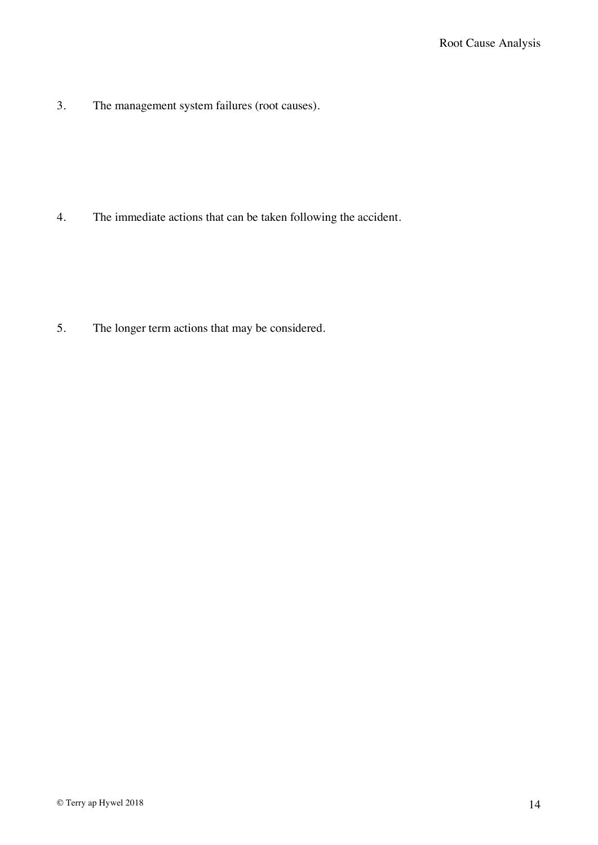3. The management system failures (root causes).

4. The immediate actions that can be taken following the accident.

5. The longer term actions that may be considered.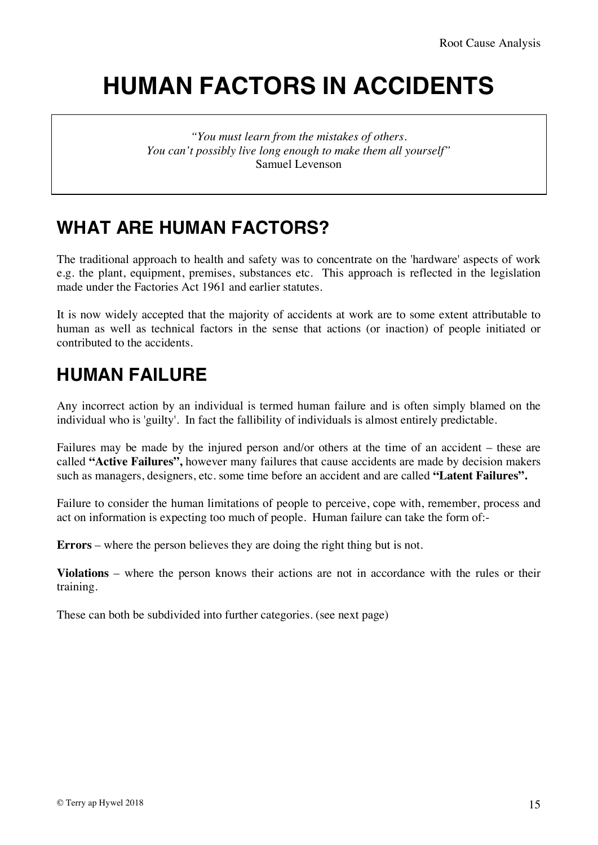## **HUMAN FACTORS IN ACCIDENTS**

*"You must learn from the mistakes of others. You can't possibly live long enough to make them all yourself"* Samuel Levenson

### **WHAT ARE HUMAN FACTORS?**

The traditional approach to health and safety was to concentrate on the 'hardware' aspects of work e.g. the plant, equipment, premises, substances etc. This approach is reflected in the legislation made under the Factories Act 1961 and earlier statutes.

It is now widely accepted that the majority of accidents at work are to some extent attributable to human as well as technical factors in the sense that actions (or inaction) of people initiated or contributed to the accidents.

#### **HUMAN FAILURE**

Any incorrect action by an individual is termed human failure and is often simply blamed on the individual who is 'guilty'. In fact the fallibility of individuals is almost entirely predictable.

Failures may be made by the injured person and/or others at the time of an accident – these are called **"Active Failures",** however many failures that cause accidents are made by decision makers such as managers, designers, etc. some time before an accident and are called **"Latent Failures".**

Failure to consider the human limitations of people to perceive, cope with, remember, process and act on information is expecting too much of people. Human failure can take the form of:-

**Errors** – where the person believes they are doing the right thing but is not.

**Violations** – where the person knows their actions are not in accordance with the rules or their training.

These can both be subdivided into further categories. (see next page)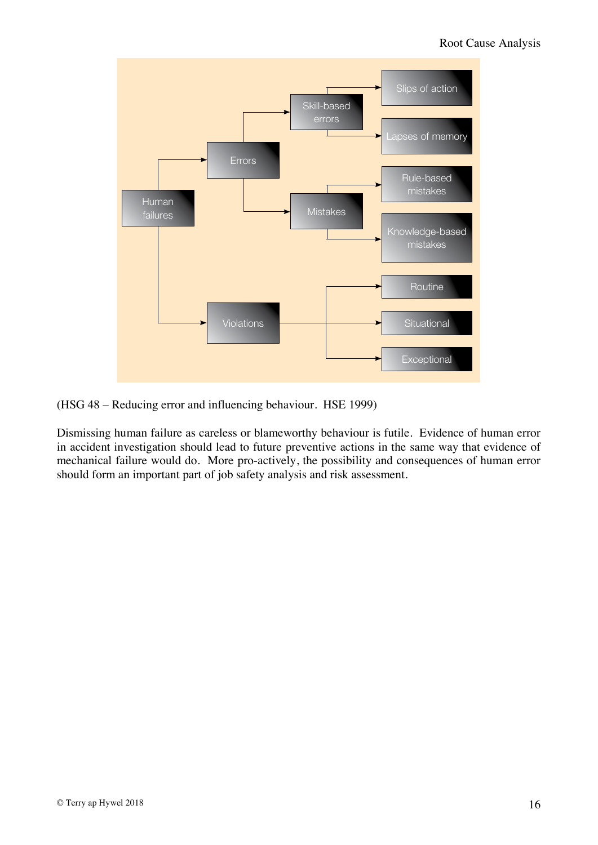

(HSG 48 – Reducing error and influencing behaviour. HSE 1999)

Dismissing human failure as careless or blameworthy behaviour is futile. Evidence of human error in accident investigation should lead to future preventive actions in the same way that evidence of mechanical failure would do. More pro-actively, the possibility and consequences of human error should form an important part of job safety analysis and risk assessment.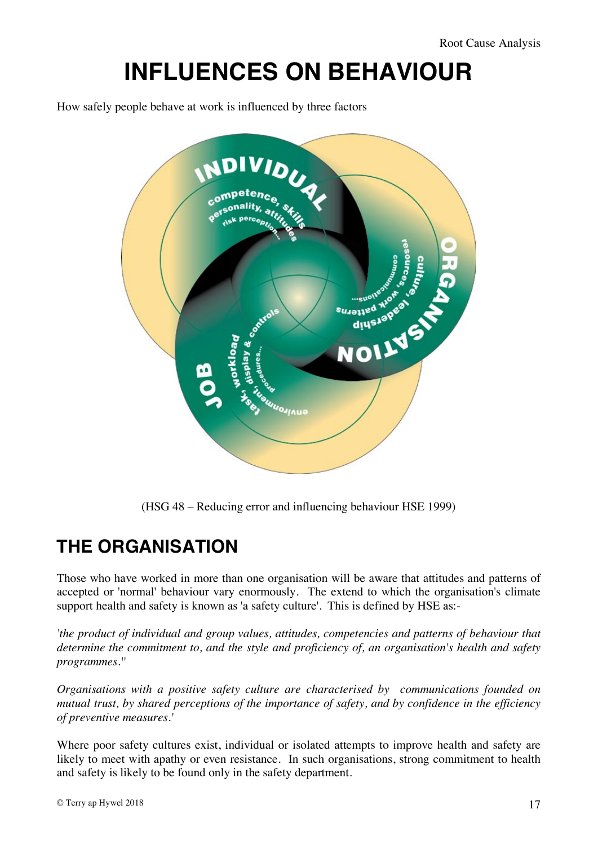#### **INFLUENCES ON BEHAVIOUR**  $T_{\rm H}$  . The HSE definition is to environmental, organisation refer to environmental, organisational and job INFLUENCES ON REHAVIOUR in a way we way was a series way to view way to view human factors in the safety of the safety of the safety o

How safely people behave at work is influenced by three factors



(HSG 48 – Reducing error and influencing behaviour HSE 1999)  $\begin{pmatrix} 1 & 1 & 1 \\ 1 & 1 & 1 \\ 1 & 1 & 1 \end{pmatrix}$ 

#### **THE ORGANISATION** whole workplace and working environment. *Mental match* involves the individual's

Those who have worked in more than one organisation will be aware that attitudes and patterns of accepted or 'normal' behaviour vary enormously. The extend to which the organisation's climate support health and safety is known as 'a safety culture'. This is defined by  $HSE$  as:-

*'the product of individual and group values, attitudes, competencies and patterns of behaviour that*  determine the commitment to, and the style and proficiency of, an organisation's health and safety *programmes.''*  of individual and group values, attitudes, competencies and patterns of design. Some characteristics such as personality are fixed and cannot be changed.

*Organisations with a positive safety culture are characterised by communications founded on mutual trust, by shared perceptions of the importance of safety, and by confidence in the efficiency* mutual trust, by shared perceptions of the importance of safety, and by confidence in the efficiency *of preventive measures.'*

Where poor safety cultures exist, individual or isolated attempts to improve health and safety are likely to meet with apathy or even resistance. In such organisations, strong commitment to health and safety is likely to be found only in the safety department.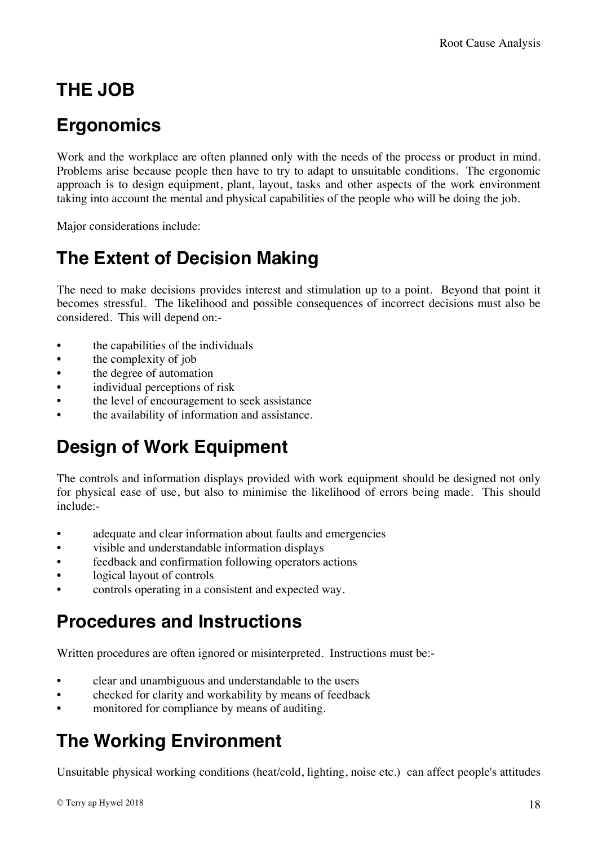### **THE JOB**

### **Ergonomics**

Work and the workplace are often planned only with the needs of the process or product in mind. Problems arise because people then have to try to adapt to unsuitable conditions. The ergonomic approach is to design equipment, plant, layout, tasks and other aspects of the work environment taking into account the mental and physical capabilities of the people who will be doing the job.

Major considerations include:

### **The Extent of Decision Making**

The need to make decisions provides interest and stimulation up to a point. Beyond that point it becomes stressful. The likelihood and possible consequences of incorrect decisions must also be considered. This will depend on:-

- the capabilities of the individuals
- the complexity of job
- the degree of automation
- individual perceptions of risk
- the level of encouragement to seek assistance
- the availability of information and assistance.

### **Design of Work Equipment**

The controls and information displays provided with work equipment should be designed not only for physical ease of use, but also to minimise the likelihood of errors being made. This should include:-

- adequate and clear information about faults and emergencies
- visible and understandable information displays
- feedback and confirmation following operators actions
- logical layout of controls
- controls operating in a consistent and expected way.

#### **Procedures and Instructions**

Written procedures are often ignored or misinterpreted. Instructions must be:-

- clear and unambiguous and understandable to the users
- checked for clarity and workability by means of feedback
- monitored for compliance by means of auditing.

### **The Working Environment**

Unsuitable physical working conditions (heat/cold, lighting, noise etc.) can affect people's attitudes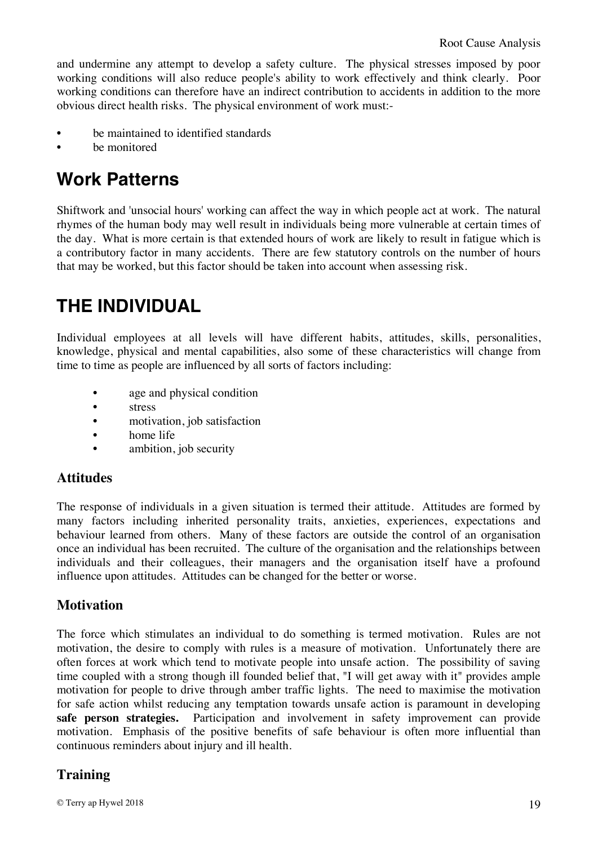and undermine any attempt to develop a safety culture. The physical stresses imposed by poor working conditions will also reduce people's ability to work effectively and think clearly. Poor working conditions can therefore have an indirect contribution to accidents in addition to the more obvious direct health risks. The physical environment of work must:-

- be maintained to identified standards
- be monitored

#### **Work Patterns**

Shiftwork and 'unsocial hours' working can affect the way in which people act at work. The natural rhymes of the human body may well result in individuals being more vulnerable at certain times of the day. What is more certain is that extended hours of work are likely to result in fatigue which is a contributory factor in many accidents. There are few statutory controls on the number of hours that may be worked, but this factor should be taken into account when assessing risk.

### **THE INDIVIDUAL**

Individual employees at all levels will have different habits, attitudes, skills, personalities, knowledge, physical and mental capabilities, also some of these characteristics will change from time to time as people are influenced by all sorts of factors including:

- age and physical condition
- stress
- motivation, job satisfaction
- home life
- ambition, job security

#### **Attitudes**

The response of individuals in a given situation is termed their attitude. Attitudes are formed by many factors including inherited personality traits, anxieties, experiences, expectations and behaviour learned from others. Many of these factors are outside the control of an organisation once an individual has been recruited. The culture of the organisation and the relationships between individuals and their colleagues, their managers and the organisation itself have a profound influence upon attitudes. Attitudes can be changed for the better or worse.

#### **Motivation**

The force which stimulates an individual to do something is termed motivation. Rules are not motivation, the desire to comply with rules is a measure of motivation. Unfortunately there are often forces at work which tend to motivate people into unsafe action. The possibility of saving time coupled with a strong though ill founded belief that, "I will get away with it" provides ample motivation for people to drive through amber traffic lights. The need to maximise the motivation for safe action whilst reducing any temptation towards unsafe action is paramount in developing **safe person strategies.** Participation and involvement in safety improvement can provide motivation. Emphasis of the positive benefits of safe behaviour is often more influential than continuous reminders about injury and ill health.

#### **Training**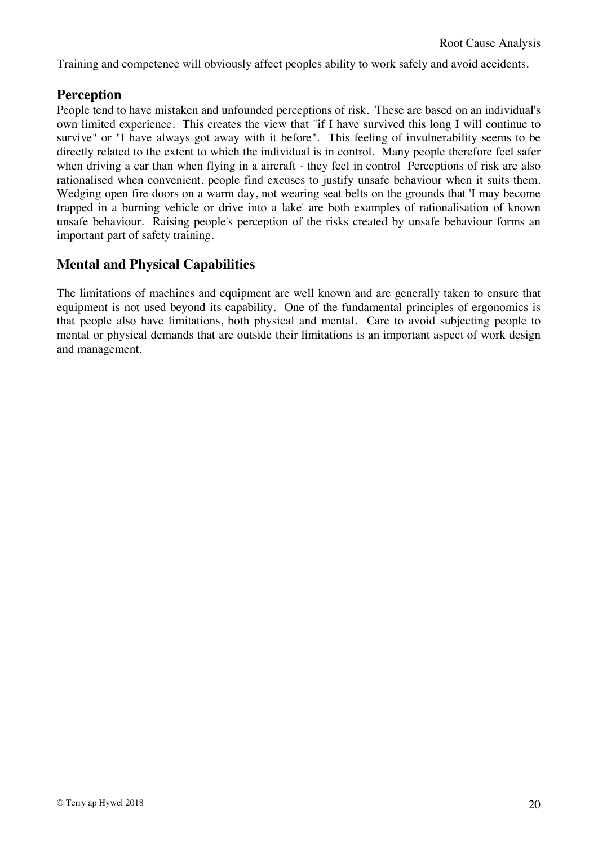Training and competence will obviously affect peoples ability to work safely and avoid accidents.

#### **Perception**

People tend to have mistaken and unfounded perceptions of risk. These are based on an individual's own limited experience. This creates the view that "if I have survived this long I will continue to survive" or "I have always got away with it before". This feeling of invulnerability seems to be directly related to the extent to which the individual is in control. Many people therefore feel safer when driving a car than when flying in a aircraft - they feel in control Perceptions of risk are also rationalised when convenient, people find excuses to justify unsafe behaviour when it suits them. Wedging open fire doors on a warm day, not wearing seat belts on the grounds that 'I may become trapped in a burning vehicle or drive into a lake' are both examples of rationalisation of known unsafe behaviour. Raising people's perception of the risks created by unsafe behaviour forms an important part of safety training.

#### **Mental and Physical Capabilities**

The limitations of machines and equipment are well known and are generally taken to ensure that equipment is not used beyond its capability. One of the fundamental principles of ergonomics is that people also have limitations, both physical and mental. Care to avoid subjecting people to mental or physical demands that are outside their limitations is an important aspect of work design and management.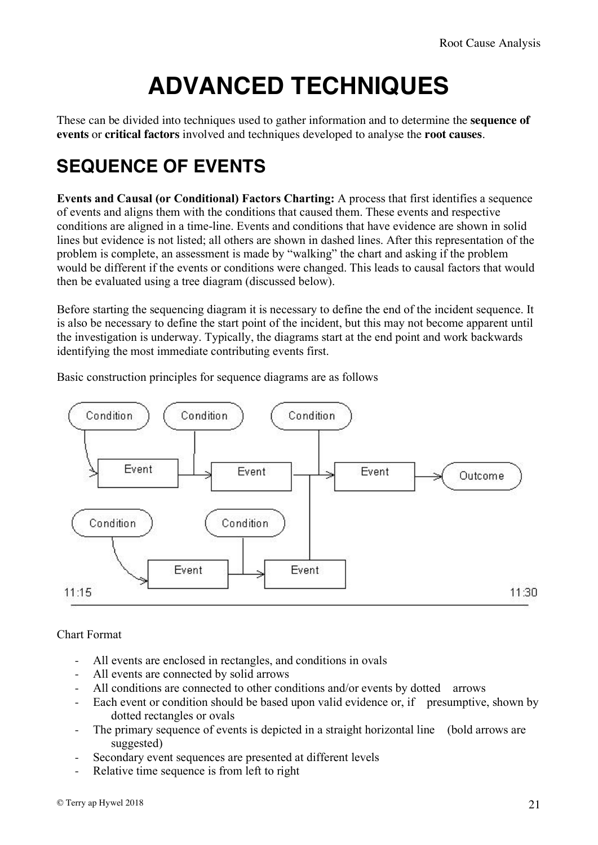## **ADVANCED TECHNIQUES**

These can be divided into techniques used to gather information and to determine the **sequence of events** or **critical factors** involved and techniques developed to analyse the **root causes**.

### **SEQUENCE OF EVENTS**

**Events and Causal (or Conditional) Factors Charting:** A process that first identifies a sequence of events and aligns them with the conditions that caused them. These events and respective conditions are aligned in a time-line. Events and conditions that have evidence are shown in solid lines but evidence is not listed; all others are shown in dashed lines. After this representation of the problem is complete, an assessment is made by "walking" the chart and asking if the problem would be different if the events or conditions were changed. This leads to causal factors that would then be evaluated using a tree diagram (discussed below).

Before starting the sequencing diagram it is necessary to define the end of the incident sequence. It is also be necessary to define the start point of the incident, but this may not become apparent until the investigation is underway. Typically, the diagrams start at the end point and work backwards identifying the most immediate contributing events first.

Basic construction principles for sequence diagrams are as follows



#### Chart Format

- All events are enclosed in rectangles, and conditions in ovals
- All events are connected by solid arrows
- All conditions are connected to other conditions and/or events by dotted arrows
- Each event or condition should be based upon valid evidence or, if presumptive, shown by dotted rectangles or ovals
- The primary sequence of events is depicted in a straight horizontal line (bold arrows are suggested)
- Secondary event sequences are presented at different levels
- Relative time sequence is from left to right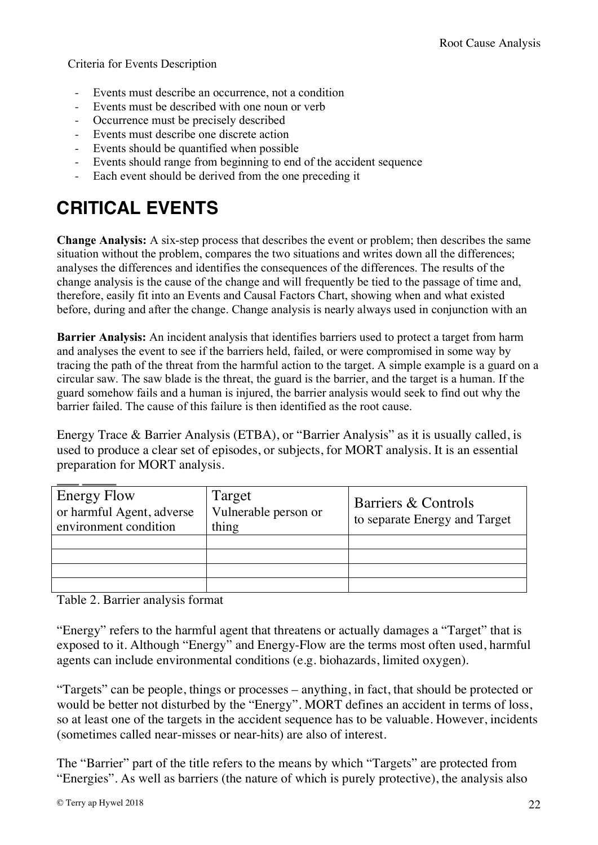Criteria for Events Description

- Events must describe an occurrence, not a condition
- Events must be described with one noun or verb
- Occurrence must be precisely described
- Events must describe one discrete action
- Events should be quantified when possible
- Events should range from beginning to end of the accident sequence
- Each event should be derived from the one preceding it

### **CRITICAL EVENTS**

**Change Analysis:** A six-step process that describes the event or problem; then describes the same situation without the problem, compares the two situations and writes down all the differences; analyses the differences and identifies the consequences of the differences. The results of the change analysis is the cause of the change and will frequently be tied to the passage of time and, therefore, easily fit into an Events and Causal Factors Chart, showing when and what existed before, during and after the change. Change analysis is nearly always used in conjunction with an

**Barrier Analysis:** An incident analysis that identifies barriers used to protect a target from harm and analyses the event to see if the barriers held, failed, or were compromised in some way by tracing the path of the threat from the harmful action to the target. A simple example is a guard on a circular saw. The saw blade is the threat, the guard is the barrier, and the target is a human. If the guard somehow fails and a human is injured, the barrier analysis would seek to find out why the barrier failed. The cause of this failure is then identified as the root cause.

Energy Trace & Barrier Analysis (ETBA), or "Barrier Analysis" as it is usually called, is used to produce a clear set of episodes, or subjects, for MORT analysis. It is an essential preparation for MORT analysis.

| <b>Energy Flow</b><br>or harmful Agent, adverse<br>environment condition | Target<br>Vulnerable person or<br>thing | Barriers & Controls<br>to separate Energy and Target |
|--------------------------------------------------------------------------|-----------------------------------------|------------------------------------------------------|
|                                                                          |                                         |                                                      |
|                                                                          |                                         |                                                      |
|                                                                          |                                         |                                                      |
|                                                                          |                                         |                                                      |

Table 2. Barrier analysis format

"Energy" refers to the harmful agent that threatens or actually damages a "Target" that is exposed to it. Although "Energy" and Energy-Flow are the terms most often used, harmful agents can include environmental conditions (e.g. biohazards, limited oxygen).

"Targets" can be people, things or processes – anything, in fact, that should be protected or would be better not disturbed by the "Energy". MORT defines an accident in terms of loss, so at least one of the targets in the accident sequence has to be valuable. However, incidents (sometimes called near-misses or near-hits) are also of interest.

The "Barrier" part of the title refers to the means by which "Targets" are protected from "Energies". As well as barriers (the nature of which is purely protective), the analysis also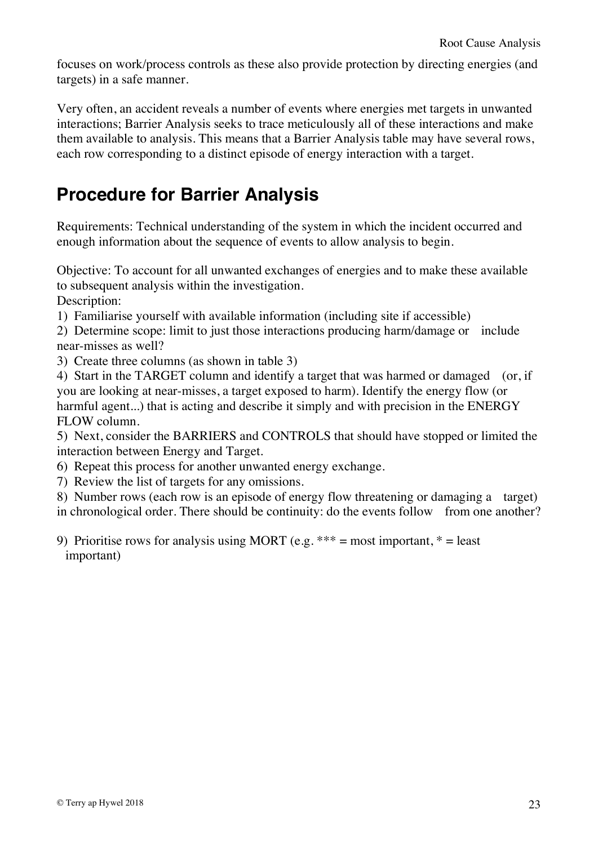focuses on work/process controls as these also provide protection by directing energies (and targets) in a safe manner.

Very often, an accident reveals a number of events where energies met targets in unwanted interactions; Barrier Analysis seeks to trace meticulously all of these interactions and make them available to analysis. This means that a Barrier Analysis table may have several rows, each row corresponding to a distinct episode of energy interaction with a target.

#### **Procedure for Barrier Analysis**

Requirements: Technical understanding of the system in which the incident occurred and enough information about the sequence of events to allow analysis to begin.

Objective: To account for all unwanted exchanges of energies and to make these available to subsequent analysis within the investigation.

Description:

1) Familiarise yourself with available information (including site if accessible)

2) Determine scope: limit to just those interactions producing harm/damage or include near-misses as well?

3) Create three columns (as shown in table 3)

4) Start in the TARGET column and identify a target that was harmed or damaged (or, if you are looking at near-misses, a target exposed to harm). Identify the energy flow (or harmful agent...) that is acting and describe it simply and with precision in the ENERGY FLOW column.

5) Next, consider the BARRIERS and CONTROLS that should have stopped or limited the interaction between Energy and Target.

- 6) Repeat this process for another unwanted energy exchange.
- 7) Review the list of targets for any omissions.

8) Number rows (each row is an episode of energy flow threatening or damaging a target) in chronological order. There should be continuity: do the events follow from one another?

9) Prioritise rows for analysis using MORT (e.g.  $***$  = most important,  $*$  = least important)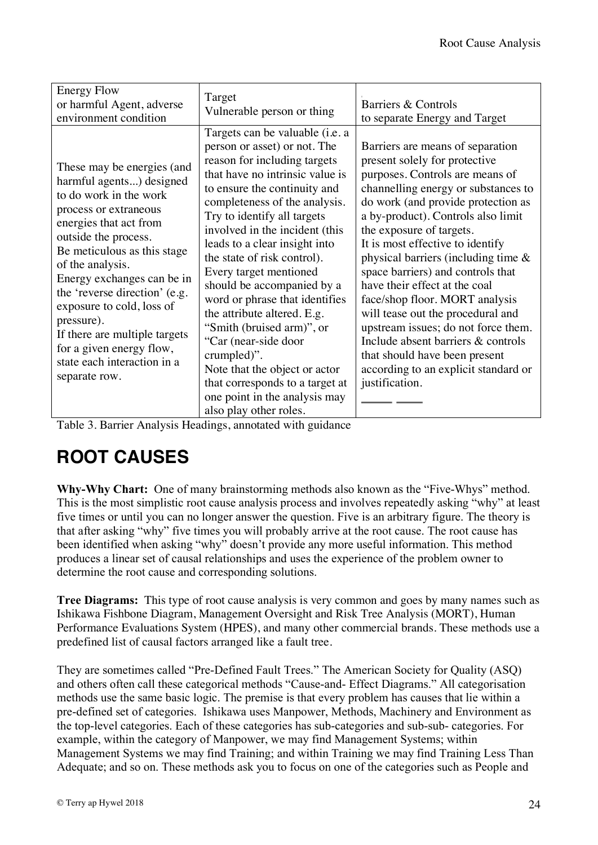| <b>Energy Flow</b><br>or harmful Agent, adverse<br>environment condition                                                                                                                                                                                                                                                                                                                                                              | Target<br>Vulnerable person or thing                                                                                                                                                                                                                                                                                                                                                                                                                                                                                                                                                                                                                                     | Barriers & Controls<br>to separate Energy and Target                                                                                                                                                                                                                                                                                                                                                                                                                                                                                                                                                                                                   |
|---------------------------------------------------------------------------------------------------------------------------------------------------------------------------------------------------------------------------------------------------------------------------------------------------------------------------------------------------------------------------------------------------------------------------------------|--------------------------------------------------------------------------------------------------------------------------------------------------------------------------------------------------------------------------------------------------------------------------------------------------------------------------------------------------------------------------------------------------------------------------------------------------------------------------------------------------------------------------------------------------------------------------------------------------------------------------------------------------------------------------|--------------------------------------------------------------------------------------------------------------------------------------------------------------------------------------------------------------------------------------------------------------------------------------------------------------------------------------------------------------------------------------------------------------------------------------------------------------------------------------------------------------------------------------------------------------------------------------------------------------------------------------------------------|
| These may be energies (and<br>harmful agents) designed<br>to do work in the work<br>process or extraneous<br>energies that act from<br>outside the process.<br>Be meticulous as this stage<br>of the analysis.<br>Energy exchanges can be in<br>the 'reverse direction' (e.g.<br>exposure to cold, loss of<br>pressure).<br>If there are multiple targets<br>for a given energy flow,<br>state each interaction in a<br>separate row. | Targets can be valuable ( <i>i.e.</i> a<br>person or asset) or not. The<br>reason for including targets<br>that have no intrinsic value is<br>to ensure the continuity and<br>completeness of the analysis.<br>Try to identify all targets<br>involved in the incident (this<br>leads to a clear insight into<br>the state of risk control).<br>Every target mentioned<br>should be accompanied by a<br>word or phrase that identifies<br>the attribute altered. E.g.<br>"Smith (bruised arm)", or<br>"Car (near-side door<br>crumpled)".<br>Note that the object or actor<br>that corresponds to a target at<br>one point in the analysis may<br>also play other roles. | Barriers are means of separation<br>present solely for protective<br>purposes. Controls are means of<br>channelling energy or substances to<br>do work (and provide protection as<br>a by-product). Controls also limit<br>the exposure of targets.<br>It is most effective to identify<br>physical barriers (including time $\&$<br>space barriers) and controls that<br>have their effect at the coal<br>face/shop floor. MORT analysis<br>will tease out the procedural and<br>upstream issues; do not force them.<br>Include absent barriers & controls<br>that should have been present<br>according to an explicit standard or<br>justification. |

Table 3. Barrier Analysis Headings, annotated with guidance

#### **ROOT CAUSES**

**Why-Why Chart:** One of many brainstorming methods also known as the "Five-Whys" method. This is the most simplistic root cause analysis process and involves repeatedly asking "why" at least five times or until you can no longer answer the question. Five is an arbitrary figure. The theory is that after asking "why" five times you will probably arrive at the root cause. The root cause has been identified when asking "why" doesn't provide any more useful information. This method produces a linear set of causal relationships and uses the experience of the problem owner to determine the root cause and corresponding solutions.

**Tree Diagrams:** This type of root cause analysis is very common and goes by many names such as Ishikawa Fishbone Diagram, Management Oversight and Risk Tree Analysis (MORT), Human Performance Evaluations System (HPES), and many other commercial brands. These methods use a predefined list of causal factors arranged like a fault tree.

They are sometimes called "Pre-Defined Fault Trees." The American Society for Quality (ASQ) and others often call these categorical methods "Cause-and- Effect Diagrams." All categorisation methods use the same basic logic. The premise is that every problem has causes that lie within a pre-defined set of categories. Ishikawa uses Manpower, Methods, Machinery and Environment as the top-level categories. Each of these categories has sub-categories and sub-sub- categories. For example, within the category of Manpower, we may find Management Systems; within Management Systems we may find Training; and within Training we may find Training Less Than Adequate; and so on. These methods ask you to focus on one of the categories such as People and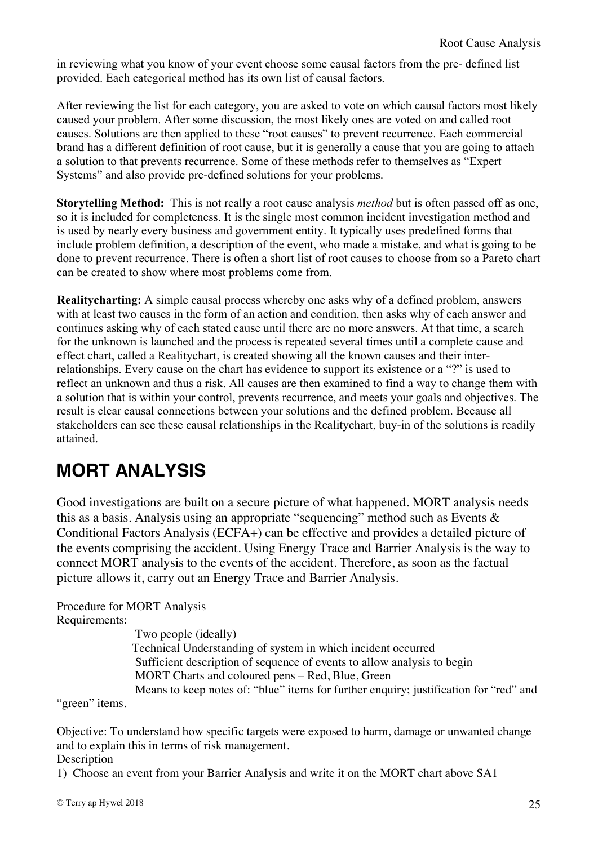in reviewing what you know of your event choose some causal factors from the pre- defined list provided. Each categorical method has its own list of causal factors.

After reviewing the list for each category, you are asked to vote on which causal factors most likely caused your problem. After some discussion, the most likely ones are voted on and called root causes. Solutions are then applied to these "root causes" to prevent recurrence. Each commercial brand has a different definition of root cause, but it is generally a cause that you are going to attach a solution to that prevents recurrence. Some of these methods refer to themselves as "Expert Systems" and also provide pre-defined solutions for your problems.

**Storytelling Method:** This is not really a root cause analysis *method* but is often passed off as one, so it is included for completeness. It is the single most common incident investigation method and is used by nearly every business and government entity. It typically uses predefined forms that include problem definition, a description of the event, who made a mistake, and what is going to be done to prevent recurrence. There is often a short list of root causes to choose from so a Pareto chart can be created to show where most problems come from.

**Realitycharting:** A simple causal process whereby one asks why of a defined problem, answers with at least two causes in the form of an action and condition, then asks why of each answer and continues asking why of each stated cause until there are no more answers. At that time, a search for the unknown is launched and the process is repeated several times until a complete cause and effect chart, called a Realitychart, is created showing all the known causes and their interrelationships. Every cause on the chart has evidence to support its existence or a "?" is used to reflect an unknown and thus a risk. All causes are then examined to find a way to change them with a solution that is within your control, prevents recurrence, and meets your goals and objectives. The result is clear causal connections between your solutions and the defined problem. Because all stakeholders can see these causal relationships in the Realitychart, buy-in of the solutions is readily attained.

### **MORT ANALYSIS**

Good investigations are built on a secure picture of what happened. MORT analysis needs this as a basis. Analysis using an appropriate "sequencing" method such as Events & Conditional Factors Analysis (ECFA+) can be effective and provides a detailed picture of the events comprising the accident. Using Energy Trace and Barrier Analysis is the way to connect MORT analysis to the events of the accident. Therefore, as soon as the factual picture allows it, carry out an Energy Trace and Barrier Analysis.

#### Procedure for MORT Analysis

Requirements:

Two people (ideally) Technical Understanding of system in which incident occurred Sufficient description of sequence of events to allow analysis to begin MORT Charts and coloured pens – Red, Blue, Green Means to keep notes of: "blue" items for further enquiry; justification for "red" and

"green" items.

Objective: To understand how specific targets were exposed to harm, damage or unwanted change and to explain this in terms of risk management.

#### Description

1) Choose an event from your Barrier Analysis and write it on the MORT chart above SA1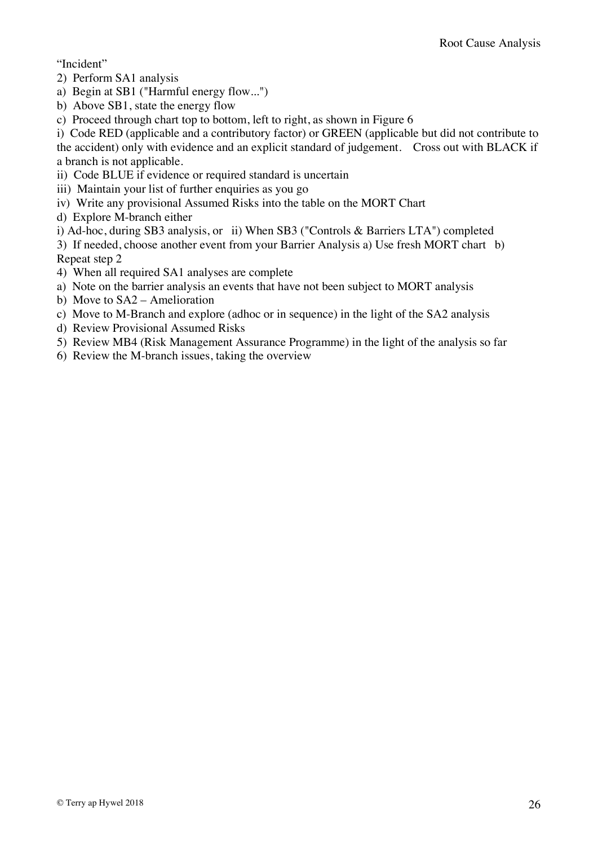"Incident"

- 2) Perform SA1 analysis
- a) Begin at SB1 ("Harmful energy flow...")
- b) Above SB1, state the energy flow
- c) Proceed through chart top to bottom, left to right, as shown in Figure 6

i) Code RED (applicable and a contributory factor) or GREEN (applicable but did not contribute to the accident) only with evidence and an explicit standard of judgement. Cross out with BLACK if a branch is not applicable.

- ii) Code BLUE if evidence or required standard is uncertain
- iii) Maintain your list of further enquiries as you go
- iv) Write any provisional Assumed Risks into the table on the MORT Chart
- d) Explore M-branch either
- i) Ad-hoc, during SB3 analysis, or ii) When SB3 ("Controls & Barriers LTA") completed

3) If needed, choose another event from your Barrier Analysis a) Use fresh MORT chart b) Repeat step 2

- 4) When all required SA1 analyses are complete
- a) Note on the barrier analysis an events that have not been subject to MORT analysis
- b) Move to SA2 Amelioration
- c) Move to M-Branch and explore (adhoc or in sequence) in the light of the SA2 analysis
- d) Review Provisional Assumed Risks
- 5) Review MB4 (Risk Management Assurance Programme) in the light of the analysis so far
- 6) Review the M-branch issues, taking the overview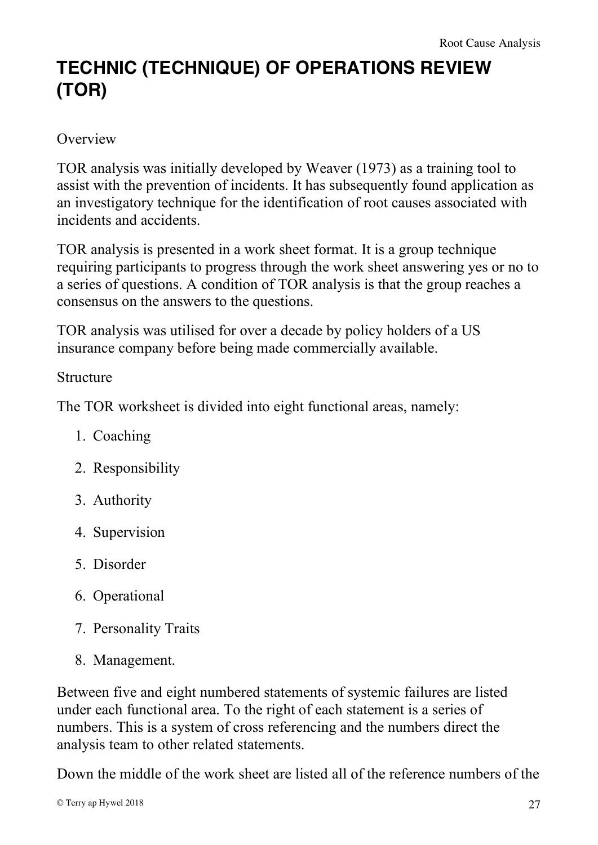### **TECHNIC (TECHNIQUE) OF OPERATIONS REVIEW (TOR)**

#### **Overview**

TOR analysis was initially developed by Weaver (1973) as a training tool to assist with the prevention of incidents. It has subsequently found application as an investigatory technique for the identification of root causes associated with incidents and accidents.

TOR analysis is presented in a work sheet format. It is a group technique requiring participants to progress through the work sheet answering yes or no to a series of questions. A condition of TOR analysis is that the group reaches a consensus on the answers to the questions.

TOR analysis was utilised for over a decade by policy holders of a US insurance company before being made commercially available.

#### Structure

The TOR worksheet is divided into eight functional areas, namely:

- 1. Coaching
- 2. Responsibility
- 3. Authority
- 4. Supervision
- 5. Disorder
- 6. Operational
- 7. Personality Traits
- 8. Management.

Between five and eight numbered statements of systemic failures are listed under each functional area. To the right of each statement is a series of numbers. This is a system of cross referencing and the numbers direct the analysis team to other related statements.

Down the middle of the work sheet are listed all of the reference numbers of the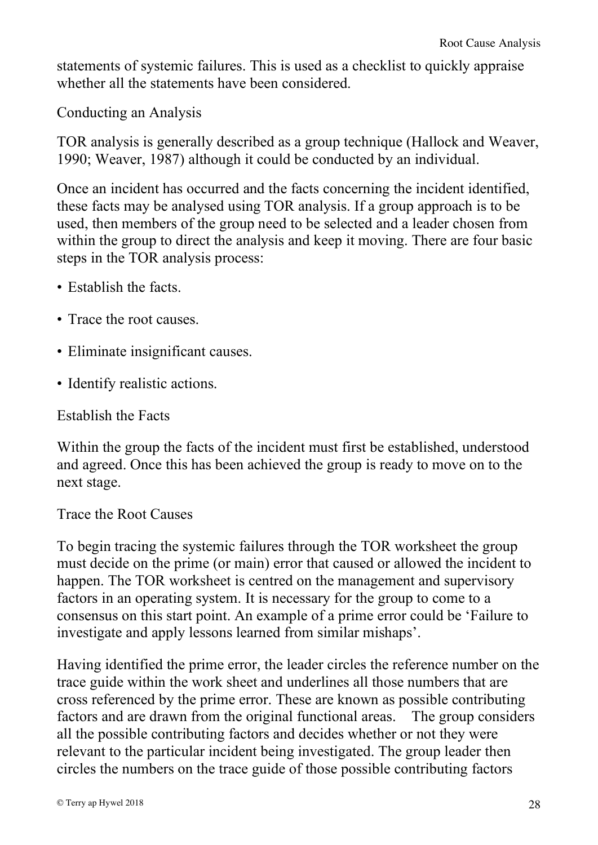statements of systemic failures. This is used as a checklist to quickly appraise whether all the statements have been considered.

Conducting an Analysis

TOR analysis is generally described as a group technique (Hallock and Weaver, 1990; Weaver, 1987) although it could be conducted by an individual.

Once an incident has occurred and the facts concerning the incident identified, these facts may be analysed using TOR analysis. If a group approach is to be used, then members of the group need to be selected and a leader chosen from within the group to direct the analysis and keep it moving. There are four basic steps in the TOR analysis process:

- Establish the facts.
- Trace the root causes.
- Eliminate insignificant causes.
- Identify realistic actions.

Establish the Facts

Within the group the facts of the incident must first be established, understood and agreed. Once this has been achieved the group is ready to move on to the next stage.

Trace the Root Causes

To begin tracing the systemic failures through the TOR worksheet the group must decide on the prime (or main) error that caused or allowed the incident to happen. The TOR worksheet is centred on the management and supervisory factors in an operating system. It is necessary for the group to come to a consensus on this start point. An example of a prime error could be 'Failure to investigate and apply lessons learned from similar mishaps'.

Having identified the prime error, the leader circles the reference number on the trace guide within the work sheet and underlines all those numbers that are cross referenced by the prime error. These are known as possible contributing factors and are drawn from the original functional areas. The group considers all the possible contributing factors and decides whether or not they were relevant to the particular incident being investigated. The group leader then circles the numbers on the trace guide of those possible contributing factors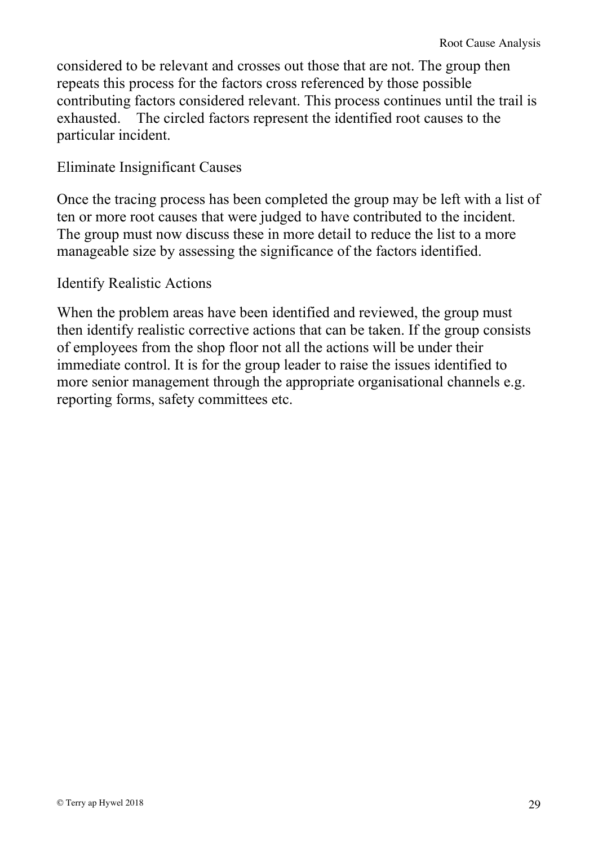considered to be relevant and crosses out those that are not. The group then repeats this process for the factors cross referenced by those possible contributing factors considered relevant. This process continues until the trail is exhausted. The circled factors represent the identified root causes to the particular incident.

#### Eliminate Insignificant Causes

Once the tracing process has been completed the group may be left with a list of ten or more root causes that were judged to have contributed to the incident. The group must now discuss these in more detail to reduce the list to a more manageable size by assessing the significance of the factors identified.

#### Identify Realistic Actions

When the problem areas have been identified and reviewed, the group must then identify realistic corrective actions that can be taken. If the group consists of employees from the shop floor not all the actions will be under their immediate control. It is for the group leader to raise the issues identified to more senior management through the appropriate organisational channels e.g. reporting forms, safety committees etc.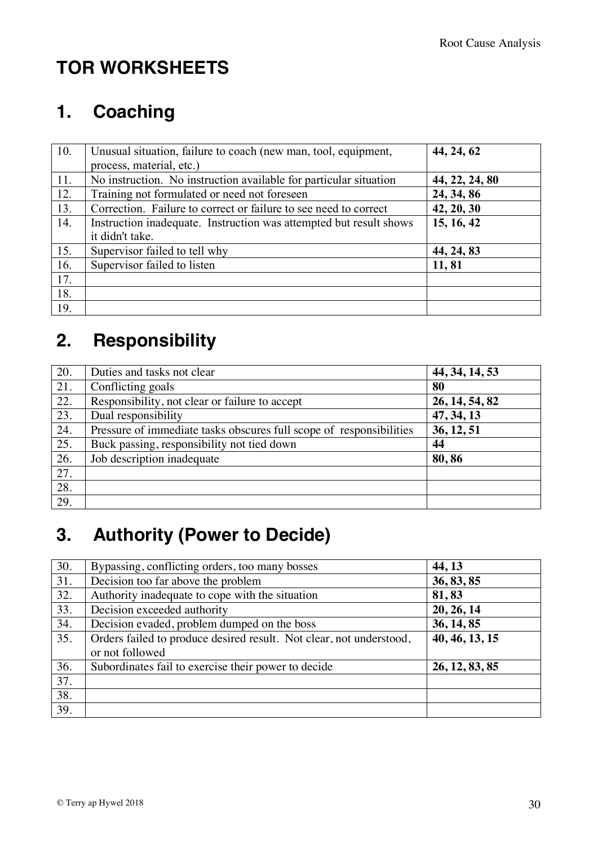### **TOR WORKSHEETS**

### **1. Coaching**

| 10. | Unusual situation, failure to coach (new man, tool, equipment,     | 44, 24, 62     |
|-----|--------------------------------------------------------------------|----------------|
|     | process, material, etc.)                                           |                |
| 11. | No instruction. No instruction available for particular situation  | 44, 22, 24, 80 |
| 12. | Training not formulated or need not foreseen                       | 24, 34, 86     |
| 13. | Correction. Failure to correct or failure to see need to correct   | 42, 20, 30     |
| 14. | Instruction inadequate. Instruction was attempted but result shows | 15, 16, 42     |
|     | it didn't take.                                                    |                |
| 15. | Supervisor failed to tell why                                      | 44, 24, 83     |
| 16. | Supervisor failed to listen                                        | 11,81          |
| 17. |                                                                    |                |
| 18. |                                                                    |                |
| 19. |                                                                    |                |

### **2. Responsibility**

| 20.               | Duties and tasks not clear                                          | 44, 34, 14, 53 |
|-------------------|---------------------------------------------------------------------|----------------|
| 21.               | Conflicting goals                                                   | 80             |
| 22.               | Responsibility, not clear or failure to accept                      | 26, 14, 54, 82 |
| 23.               | Dual responsibility                                                 | 47, 34, 13     |
| 24.               | Pressure of immediate tasks obscures full scope of responsibilities | 36, 12, 51     |
| 25.               | Buck passing, responsibility not tied down                          | 44             |
| 26.               | Job description inadequate                                          | 80,86          |
| $\overline{27}$ . |                                                                     |                |
| 28.               |                                                                     |                |
| 29.               |                                                                     |                |

### **3. Authority (Power to Decide)**

| 30.               | Bypassing, conflicting orders, too many bosses                      | 44, 13         |
|-------------------|---------------------------------------------------------------------|----------------|
| 31.               | Decision too far above the problem                                  | 36, 83, 85     |
| 32.               | Authority inadequate to cope with the situation                     | 81,83          |
| 33.               | Decision exceeded authority                                         | 20, 26, 14     |
| 34.               | Decision evaded, problem dumped on the boss                         | 36, 14, 85     |
| 35.               | Orders failed to produce desired result. Not clear, not understood, | 40, 46, 13, 15 |
|                   | or not followed                                                     |                |
| 36.               | Subordinates fail to exercise their power to decide                 | 26, 12, 83, 85 |
| $\overline{37}$ . |                                                                     |                |
| 38.               |                                                                     |                |
| 39.               |                                                                     |                |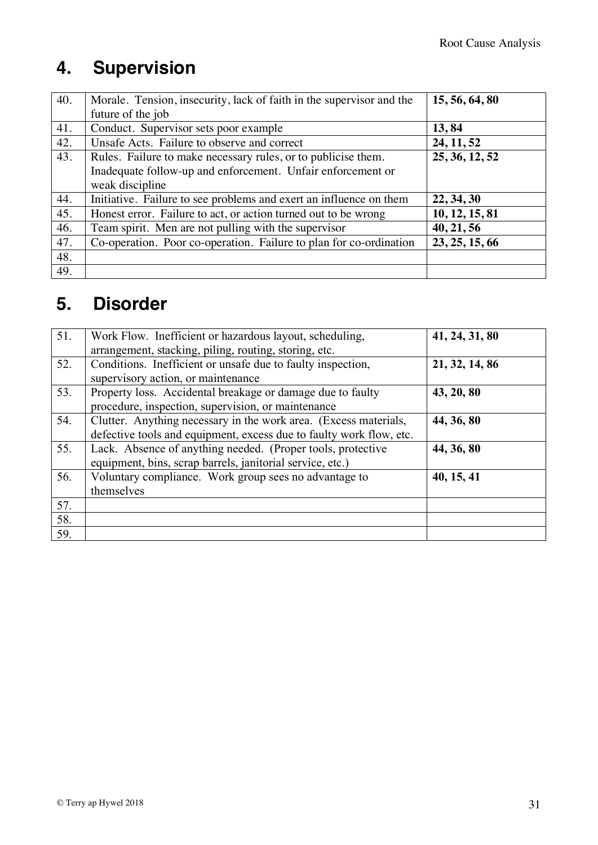### **4. Supervision**

| 40. | Morale. Tension, insecurity, lack of faith in the supervisor and the | 15, 56, 64, 80 |
|-----|----------------------------------------------------------------------|----------------|
|     | future of the job                                                    |                |
| 41. | Conduct. Supervisor sets poor example                                | 13,84          |
| 42. | Unsafe Acts. Failure to observe and correct                          | 24, 11, 52     |
| 43. | Rules. Failure to make necessary rules, or to publicise them.        | 25, 36, 12, 52 |
|     | Inadequate follow-up and enforcement. Unfair enforcement or          |                |
|     | weak discipline                                                      |                |
| 44. | Initiative. Failure to see problems and exert an influence on them   | 22, 34, 30     |
| 45. | Honest error. Failure to act, or action turned out to be wrong       | 10, 12, 15, 81 |
| 46. | Team spirit. Men are not pulling with the supervisor                 | 40, 21, 56     |
| 47. | Co-operation. Poor co-operation. Failure to plan for co-ordination   | 23, 25, 15, 66 |
| 48. |                                                                      |                |
| 49. |                                                                      |                |

### **5. Disorder**

| 51. | Work Flow. Inefficient or hazardous layout, scheduling,<br>arrangement, stacking, piling, routing, storing, etc.                        | 41, 24, 31, 80 |
|-----|-----------------------------------------------------------------------------------------------------------------------------------------|----------------|
| 52. | Conditions. Inefficient or unsafe due to faulty inspection,<br>supervisory action, or maintenance                                       | 21, 32, 14, 86 |
| 53. | Property loss. Accidental breakage or damage due to faulty<br>procedure, inspection, supervision, or maintenance                        | 43, 20, 80     |
| 54. | Clutter. Anything necessary in the work area. (Excess materials,<br>defective tools and equipment, excess due to faulty work flow, etc. | 44, 36, 80     |
| 55. | Lack. Absence of anything needed. (Proper tools, protective<br>equipment, bins, scrap barrels, janitorial service, etc.)                | 44, 36, 80     |
| 56. | Voluntary compliance. Work group sees no advantage to<br>themselves                                                                     | 40, 15, 41     |
| 57. |                                                                                                                                         |                |
| 58. |                                                                                                                                         |                |
| 59. |                                                                                                                                         |                |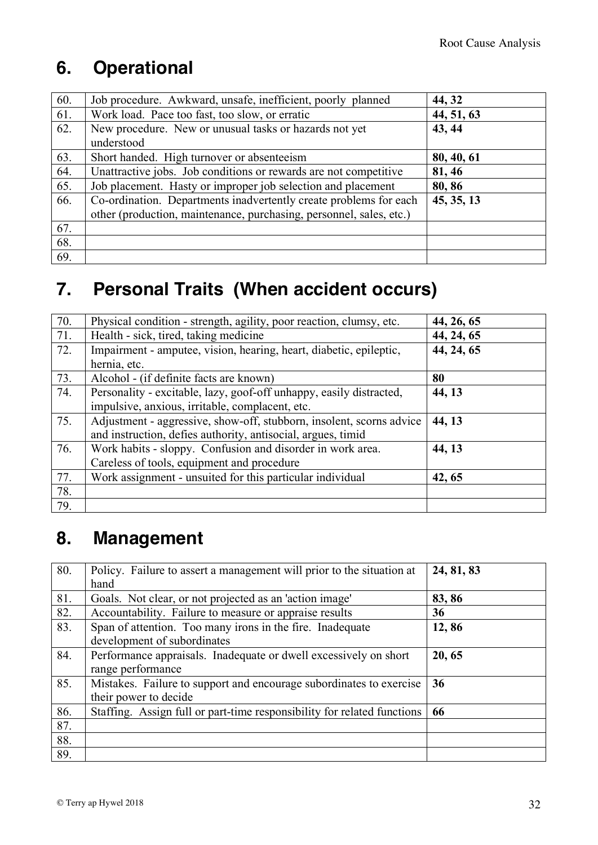### **6. Operational**

| 60. | Job procedure. Awkward, unsafe, inefficient, poorly planned         | 44, 32     |
|-----|---------------------------------------------------------------------|------------|
| 61. | Work load. Pace too fast, too slow, or erratic                      | 44, 51, 63 |
| 62. | New procedure. New or unusual tasks or hazards not yet              | 43, 44     |
|     | understood                                                          |            |
| 63. | Short handed. High turnover or absenteeism                          | 80, 40, 61 |
| 64. | Unattractive jobs. Job conditions or rewards are not competitive    | 81, 46     |
| 65. | Job placement. Hasty or improper job selection and placement        | 80, 86     |
| 66. | Co-ordination. Departments inadvertently create problems for each   | 45, 35, 13 |
|     | other (production, maintenance, purchasing, personnel, sales, etc.) |            |
| 67. |                                                                     |            |
| 68. |                                                                     |            |
| 69. |                                                                     |            |

### **7. Personal Traits (When accident occurs)**

| 70. | Physical condition - strength, agility, poor reaction, clumsy, etc.  | 44, 26, 65 |
|-----|----------------------------------------------------------------------|------------|
| 71. | Health - sick, tired, taking medicine                                | 44, 24, 65 |
| 72. | Impairment - amputee, vision, hearing, heart, diabetic, epileptic,   | 44, 24, 65 |
|     | hernia, etc.                                                         |            |
| 73. | Alcohol - (if definite facts are known)                              | 80         |
| 74. | Personality - excitable, lazy, goof-off unhappy, easily distracted,  | 44, 13     |
|     | impulsive, anxious, irritable, complacent, etc.                      |            |
| 75. | Adjustment - aggressive, show-off, stubborn, insolent, scorns advice | 44, 13     |
|     | and instruction, defies authority, antisocial, argues, timid         |            |
| 76. | Work habits - sloppy. Confusion and disorder in work area.           | 44, 13     |
|     | Careless of tools, equipment and procedure                           |            |
| 77. | Work assignment - unsuited for this particular individual            | 42, 65     |
| 78. |                                                                      |            |
| 79. |                                                                      |            |

#### **8. Management**

| 80. | Policy. Failure to assert a management will prior to the situation at<br>hand                | 24, 81, 83 |
|-----|----------------------------------------------------------------------------------------------|------------|
| 81. | Goals. Not clear, or not projected as an 'action image'                                      | 83, 86     |
| 82. | Accountability. Failure to measure or appraise results                                       | 36         |
| 83. | Span of attention. Too many irons in the fire. Inadequate<br>development of subordinates     | 12,86      |
| 84. | Performance appraisals. Inadequate or dwell excessively on short<br>range performance        | 20, 65     |
| 85. | Mistakes. Failure to support and encourage subordinates to exercise<br>their power to decide | 36         |
| 86. | Staffing. Assign full or part-time responsibility for related functions                      | 66         |
| 87. |                                                                                              |            |
| 88. |                                                                                              |            |
| 89. |                                                                                              |            |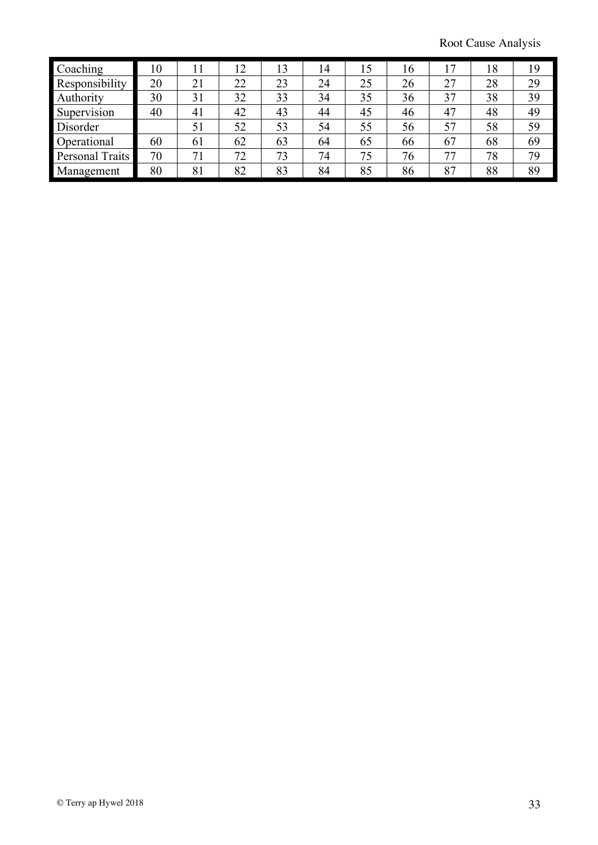Root Cause Analysis

| Coaching        | 10 | 11 | 12 | 13 | 14 | 15 | 16 | 17 | 18 | 19 |
|-----------------|----|----|----|----|----|----|----|----|----|----|
| Responsibility  | 20 | 21 | 22 | 23 | 24 | 25 | 26 | 27 | 28 | 29 |
| Authority       | 30 | 31 | 32 | 33 | 34 | 35 | 36 | 37 | 38 | 39 |
| Supervision     | 40 | 41 | 42 | 43 | 44 | 45 | 46 | 47 | 48 | 49 |
| Disorder        |    | 51 | 52 | 53 | 54 | 55 | 56 | 57 | 58 | 59 |
| Operational     | 60 | 61 | 62 | 63 | 64 | 65 | 66 | 67 | 68 | 69 |
| Personal Traits | 70 | 71 | 72 | 73 | 74 | 75 | 76 | 77 | 78 | 79 |
| Management      | 80 | 81 | 82 | 83 | 84 | 85 | 86 | 87 | 88 | 89 |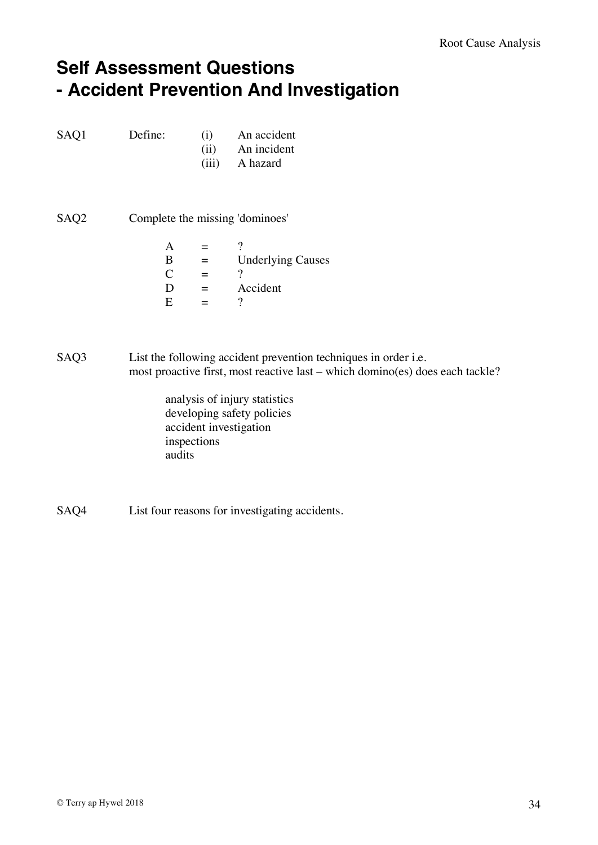#### **Self Assessment Questions - Accident Prevention And Investigation**

| SAQ1 | Define: | An accident |  |  |
|------|---------|-------------|--|--|
|      |         |             |  |  |

- (ii) An incident
- (iii) A hazard
- SAQ2 Complete the missing 'dominoes'
	- $A = ?$  $B =$  Underlying Causes  $C = ?$  $D = Accident$ <br> $E = ?$  $=$  ?

SAQ3 List the following accident prevention techniques in order i.e. most proactive first, most reactive last – which domino(es) does each tackle?

- analysis of injury statistics developing safety policies accident investigation inspections audits
- SAQ4 List four reasons for investigating accidents.